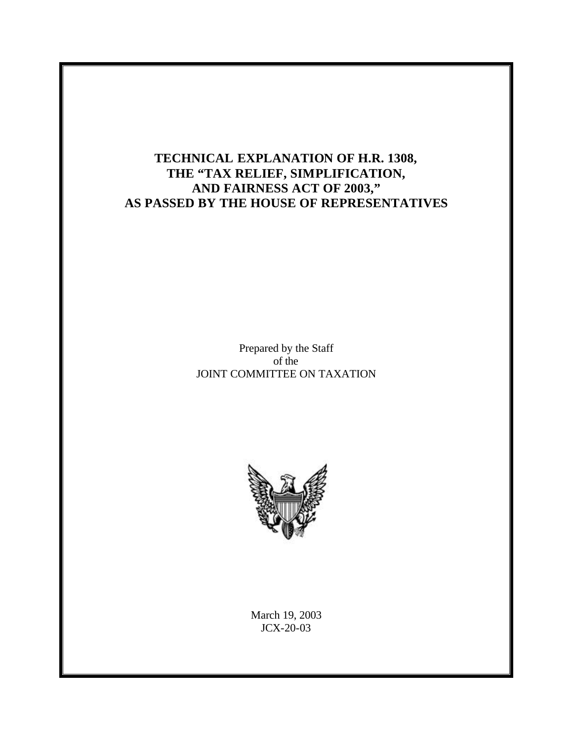# **TECHNICAL EXPLANATION OF H.R. 1308, THE "TAX RELIEF, SIMPLIFICATION, AND FAIRNESS ACT OF 2003," AS PASSED BY THE HOUSE OF REPRESENTATIVES**

## Prepared by the Staff of the JOINT COMMITTEE ON TAXATION



March 19, 2003 JCX-20-03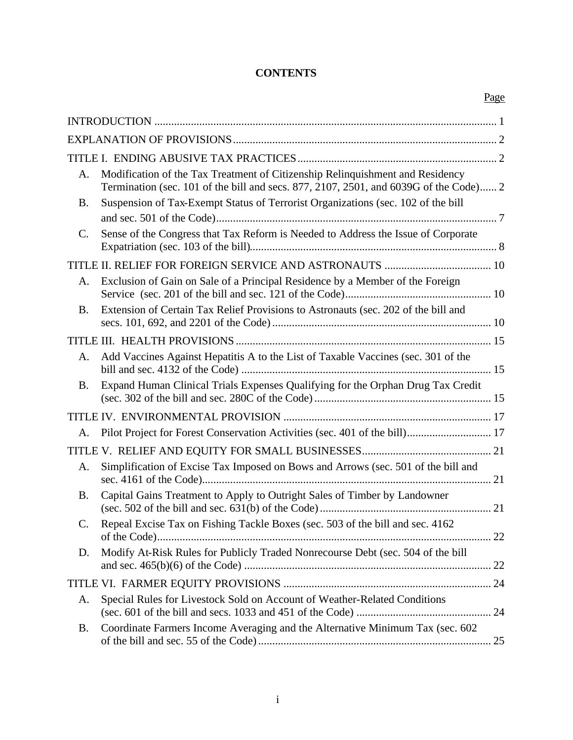## **CONTENTS**

|           |                                                                                                                                                                        | Page |
|-----------|------------------------------------------------------------------------------------------------------------------------------------------------------------------------|------|
|           |                                                                                                                                                                        |      |
|           |                                                                                                                                                                        |      |
|           |                                                                                                                                                                        |      |
| A.        | Modification of the Tax Treatment of Citizenship Relinquishment and Residency<br>Termination (sec. 101 of the bill and secs. 877, 2107, 2501, and 6039G of the Code) 2 |      |
| <b>B.</b> | Suspension of Tax-Exempt Status of Terrorist Organizations (sec. 102 of the bill                                                                                       |      |
| C.        | Sense of the Congress that Tax Reform is Needed to Address the Issue of Corporate                                                                                      |      |
|           |                                                                                                                                                                        |      |
| A.        | Exclusion of Gain on Sale of a Principal Residence by a Member of the Foreign                                                                                          |      |
| B.        | Extension of Certain Tax Relief Provisions to Astronauts (sec. 202 of the bill and                                                                                     |      |
|           |                                                                                                                                                                        |      |
| A.        | Add Vaccines Against Hepatitis A to the List of Taxable Vaccines (sec. 301 of the                                                                                      |      |
| <b>B.</b> | Expand Human Clinical Trials Expenses Qualifying for the Orphan Drug Tax Credit                                                                                        |      |
|           |                                                                                                                                                                        |      |
| A.        |                                                                                                                                                                        |      |
|           |                                                                                                                                                                        |      |
| A.        | Simplification of Excise Tax Imposed on Bows and Arrows (sec. 501 of the bill and                                                                                      |      |
| В.        | Capital Gains Treatment to Apply to Outright Sales of Timber by Landowner                                                                                              |      |
| C.        | Repeal Excise Tax on Fishing Tackle Boxes (sec. 503 of the bill and sec. 4162)                                                                                         |      |
| D.        | Modify At-Risk Rules for Publicly Traded Nonrecourse Debt (sec. 504 of the bill                                                                                        | 22   |
|           |                                                                                                                                                                        |      |
| A.        | Special Rules for Livestock Sold on Account of Weather-Related Conditions                                                                                              |      |
| <b>B.</b> | Coordinate Farmers Income Averaging and the Alternative Minimum Tax (sec. 602                                                                                          | 25   |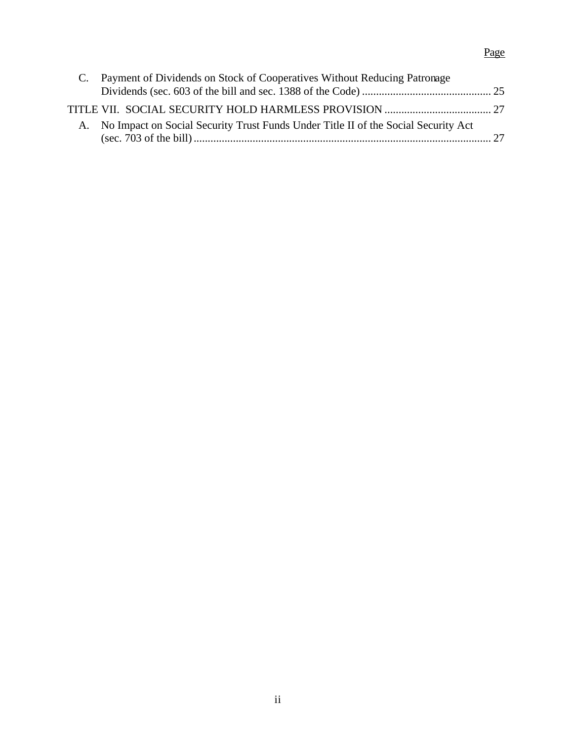# Page

| C. Payment of Dividends on Stock of Cooperatives Without Reducing Patronage           |  |
|---------------------------------------------------------------------------------------|--|
|                                                                                       |  |
| A. No Impact on Social Security Trust Funds Under Title II of the Social Security Act |  |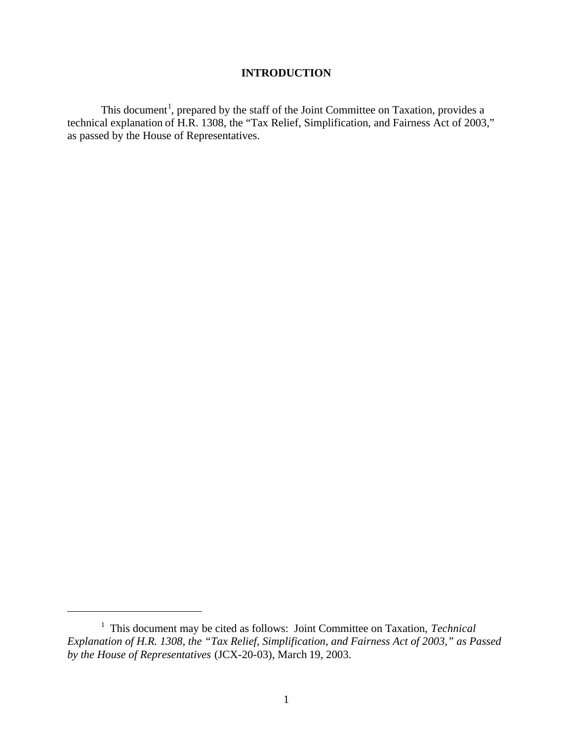## **INTRODUCTION**

This document<sup>1</sup>, prepared by the staff of the Joint Committee on Taxation, provides a technical explanation of H.R. 1308, the "Tax Relief, Simplification, and Fairness Act of 2003," as passed by the House of Representatives.

1

<sup>&</sup>lt;sup>1</sup> This document may be cited as follows: Joint Committee on Taxation, *Technical Explanation of H.R. 1308, the "Tax Relief, Simplification, and Fairness Act of 2003," as Passed by the House of Representatives* (JCX-20-03), March 19, 2003.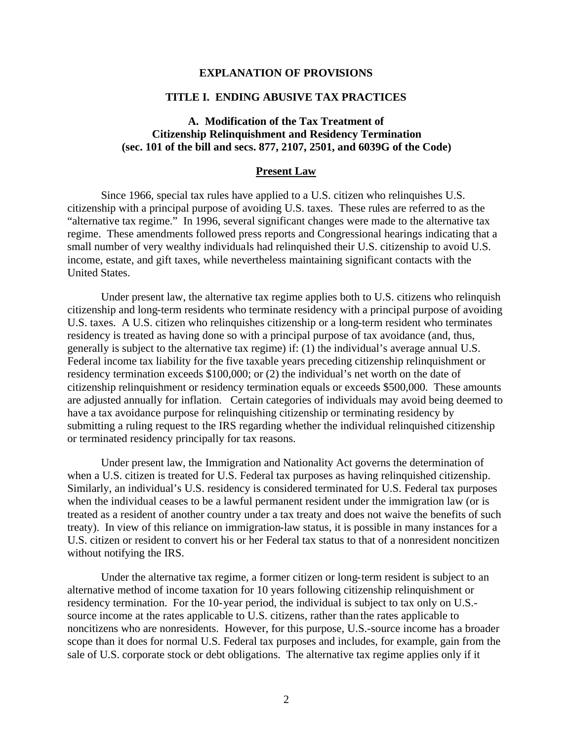#### **EXPLANATION OF PROVISIONS**

## **TITLE I. ENDING ABUSIVE TAX PRACTICES**

## **A. Modification of the Tax Treatment of Citizenship Relinquishment and Residency Termination (sec. 101 of the bill and secs. 877, 2107, 2501, and 6039G of the Code)**

#### **Present Law**

Since 1966, special tax rules have applied to a U.S. citizen who relinquishes U.S. citizenship with a principal purpose of avoiding U.S. taxes. These rules are referred to as the "alternative tax regime." In 1996, several significant changes were made to the alternative tax regime. These amendments followed press reports and Congressional hearings indicating that a small number of very wealthy individuals had relinquished their U.S. citizenship to avoid U.S. income, estate, and gift taxes, while nevertheless maintaining significant contacts with the United States.

Under present law, the alternative tax regime applies both to U.S. citizens who relinquish citizenship and long-term residents who terminate residency with a principal purpose of avoiding U.S. taxes. A U.S. citizen who relinquishes citizenship or a long-term resident who terminates residency is treated as having done so with a principal purpose of tax avoidance (and, thus, generally is subject to the alternative tax regime) if: (1) the individual's average annual U.S. Federal income tax liability for the five taxable years preceding citizenship relinquishment or residency termination exceeds \$100,000; or (2) the individual's net worth on the date of citizenship relinquishment or residency termination equals or exceeds \$500,000. These amounts are adjusted annually for inflation. Certain categories of individuals may avoid being deemed to have a tax avoidance purpose for relinquishing citizenship or terminating residency by submitting a ruling request to the IRS regarding whether the individual relinquished citizenship or terminated residency principally for tax reasons.

Under present law, the Immigration and Nationality Act governs the determination of when a U.S. citizen is treated for U.S. Federal tax purposes as having relinquished citizenship. Similarly, an individual's U.S. residency is considered terminated for U.S. Federal tax purposes when the individual ceases to be a lawful permanent resident under the immigration law (or is treated as a resident of another country under a tax treaty and does not waive the benefits of such treaty). In view of this reliance on immigration-law status, it is possible in many instances for a U.S. citizen or resident to convert his or her Federal tax status to that of a nonresident noncitizen without notifying the IRS.

Under the alternative tax regime, a former citizen or long-term resident is subject to an alternative method of income taxation for 10 years following citizenship relinquishment or residency termination. For the 10-year period, the individual is subject to tax only on U.S. source income at the rates applicable to U.S. citizens, rather than the rates applicable to noncitizens who are nonresidents. However, for this purpose, U.S.-source income has a broader scope than it does for normal U.S. Federal tax purposes and includes, for example, gain from the sale of U.S. corporate stock or debt obligations. The alternative tax regime applies only if it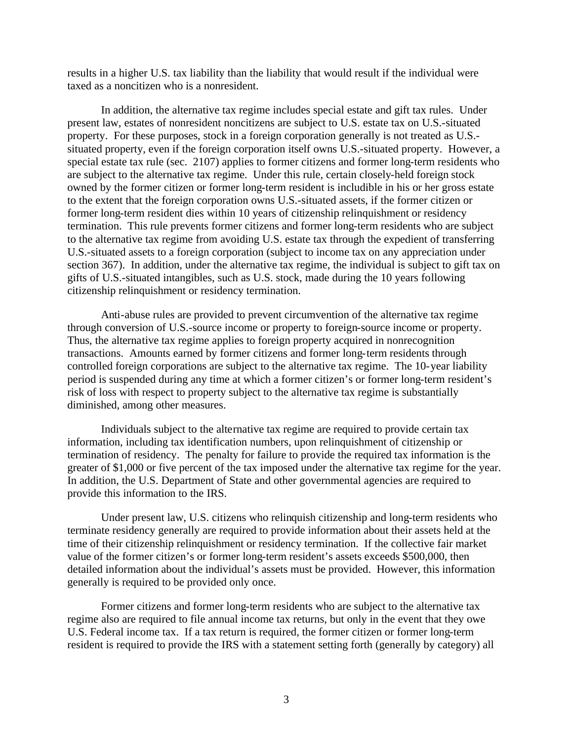results in a higher U.S. tax liability than the liability that would result if the individual were taxed as a noncitizen who is a nonresident.

In addition, the alternative tax regime includes special estate and gift tax rules. Under present law, estates of nonresident noncitizens are subject to U.S. estate tax on U.S.-situated property. For these purposes, stock in a foreign corporation generally is not treated as U.S. situated property, even if the foreign corporation itself owns U.S.-situated property. However, a special estate tax rule (sec. 2107) applies to former citizens and former long-term residents who are subject to the alternative tax regime. Under this rule, certain closely-held foreign stock owned by the former citizen or former long-term resident is includible in his or her gross estate to the extent that the foreign corporation owns U.S.-situated assets, if the former citizen or former long-term resident dies within 10 years of citizenship relinquishment or residency termination. This rule prevents former citizens and former long-term residents who are subject to the alternative tax regime from avoiding U.S. estate tax through the expedient of transferring U.S.-situated assets to a foreign corporation (subject to income tax on any appreciation under section 367). In addition, under the alternative tax regime, the individual is subject to gift tax on gifts of U.S.-situated intangibles, such as U.S. stock, made during the 10 years following citizenship relinquishment or residency termination.

Anti-abuse rules are provided to prevent circumvention of the alternative tax regime through conversion of U.S.-source income or property to foreign-source income or property. Thus, the alternative tax regime applies to foreign property acquired in nonrecognition transactions. Amounts earned by former citizens and former long-term residents through controlled foreign corporations are subject to the alternative tax regime. The 10-year liability period is suspended during any time at which a former citizen's or former long-term resident's risk of loss with respect to property subject to the alternative tax regime is substantially diminished, among other measures.

Individuals subject to the alternative tax regime are required to provide certain tax information, including tax identification numbers, upon relinquishment of citizenship or termination of residency. The penalty for failure to provide the required tax information is the greater of \$1,000 or five percent of the tax imposed under the alternative tax regime for the year. In addition, the U.S. Department of State and other governmental agencies are required to provide this information to the IRS.

Under present law, U.S. citizens who relinquish citizenship and long-term residents who terminate residency generally are required to provide information about their assets held at the time of their citizenship relinquishment or residency termination. If the collective fair market value of the former citizen's or former long-term resident's assets exceeds \$500,000, then detailed information about the individual's assets must be provided. However, this information generally is required to be provided only once.

Former citizens and former long-term residents who are subject to the alternative tax regime also are required to file annual income tax returns, but only in the event that they owe U.S. Federal income tax. If a tax return is required, the former citizen or former long-term resident is required to provide the IRS with a statement setting forth (generally by category) all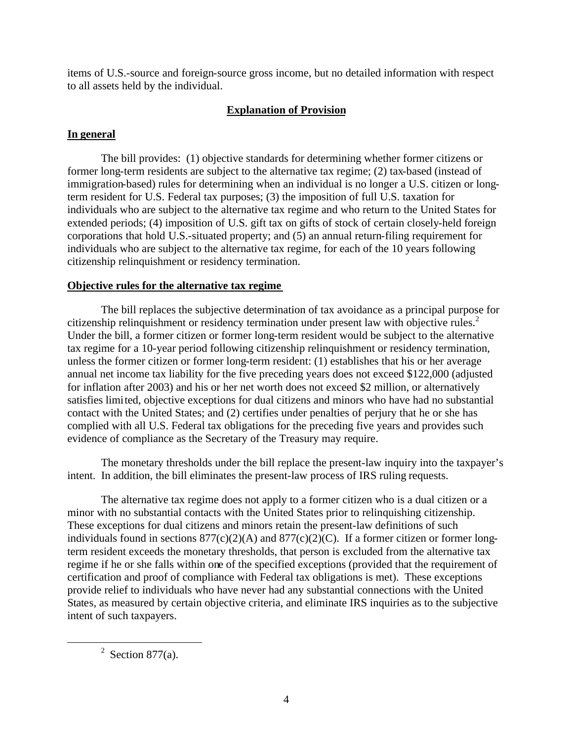items of U.S.-source and foreign-source gross income, but no detailed information with respect to all assets held by the individual.

## **Explanation of Provision**

## **In general**

The bill provides: (1) objective standards for determining whether former citizens or former long-term residents are subject to the alternative tax regime; (2) tax-based (instead of immigration-based) rules for determining when an individual is no longer a U.S. citizen or longterm resident for U.S. Federal tax purposes; (3) the imposition of full U.S. taxation for individuals who are subject to the alternative tax regime and who return to the United States for extended periods; (4) imposition of U.S. gift tax on gifts of stock of certain closely-held foreign corporations that hold U.S.-situated property; and (5) an annual return-filing requirement for individuals who are subject to the alternative tax regime, for each of the 10 years following citizenship relinquishment or residency termination.

### **Objective rules for the alternative tax regime**

The bill replaces the subjective determination of tax avoidance as a principal purpose for citizenship relinquishment or residency termination under present law with objective rules.<sup>2</sup> Under the bill, a former citizen or former long-term resident would be subject to the alternative tax regime for a 10-year period following citizenship relinquishment or residency termination, unless the former citizen or former long-term resident: (1) establishes that his or her average annual net income tax liability for the five preceding years does not exceed \$122,000 (adjusted for inflation after 2003) and his or her net worth does not exceed \$2 million, or alternatively satisfies limited, objective exceptions for dual citizens and minors who have had no substantial contact with the United States; and (2) certifies under penalties of perjury that he or she has complied with all U.S. Federal tax obligations for the preceding five years and provides such evidence of compliance as the Secretary of the Treasury may require.

The monetary thresholds under the bill replace the present-law inquiry into the taxpayer's intent. In addition, the bill eliminates the present-law process of IRS ruling requests.

The alternative tax regime does not apply to a former citizen who is a dual citizen or a minor with no substantial contacts with the United States prior to relinquishing citizenship. These exceptions for dual citizens and minors retain the present-law definitions of such individuals found in sections  $877(c)(2)(A)$  and  $877(c)(2)(C)$ . If a former citizen or former longterm resident exceeds the monetary thresholds, that person is excluded from the alternative tax regime if he or she falls within one of the specified exceptions (provided that the requirement of certification and proof of compliance with Federal tax obligations is met). These exceptions provide relief to individuals who have never had any substantial connections with the United States, as measured by certain objective criteria, and eliminate IRS inquiries as to the subjective intent of such taxpayers.

 $2$  Section 877(a).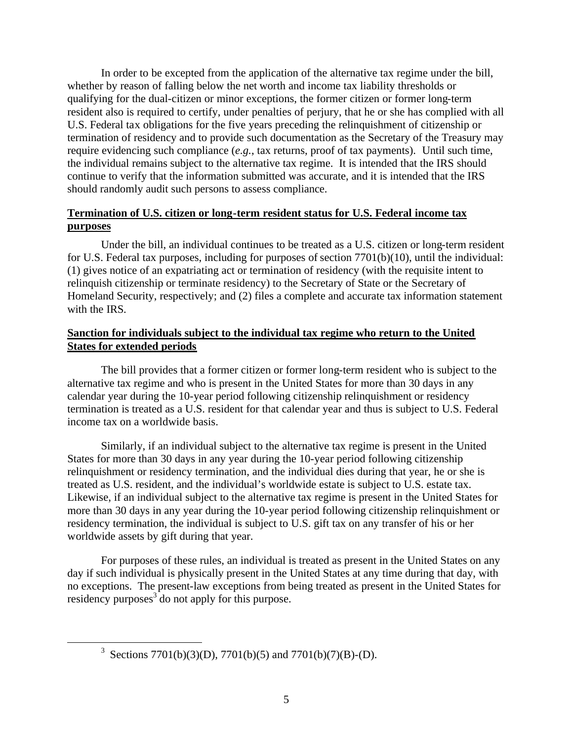In order to be excepted from the application of the alternative tax regime under the bill, whether by reason of falling below the net worth and income tax liability thresholds or qualifying for the dual-citizen or minor exceptions, the former citizen or former long-term resident also is required to certify, under penalties of perjury, that he or she has complied with all U.S. Federal tax obligations for the five years preceding the relinquishment of citizenship or termination of residency and to provide such documentation as the Secretary of the Treasury may require evidencing such compliance (*e.g.*, tax returns, proof of tax payments). Until such time, the individual remains subject to the alternative tax regime. It is intended that the IRS should continue to verify that the information submitted was accurate, and it is intended that the IRS should randomly audit such persons to assess compliance.

## **Termination of U.S. citizen or long-term resident status for U.S. Federal income tax purposes**

Under the bill, an individual continues to be treated as a U.S. citizen or long-term resident for U.S. Federal tax purposes, including for purposes of section 7701(b)(10), until the individual: (1) gives notice of an expatriating act or termination of residency (with the requisite intent to relinquish citizenship or terminate residency) to the Secretary of State or the Secretary of Homeland Security, respectively; and (2) files a complete and accurate tax information statement with the IRS.

## **Sanction for individuals subject to the individual tax regime who return to the United States for extended periods**

The bill provides that a former citizen or former long-term resident who is subject to the alternative tax regime and who is present in the United States for more than 30 days in any calendar year during the 10-year period following citizenship relinquishment or residency termination is treated as a U.S. resident for that calendar year and thus is subject to U.S. Federal income tax on a worldwide basis.

Similarly, if an individual subject to the alternative tax regime is present in the United States for more than 30 days in any year during the 10-year period following citizenship relinquishment or residency termination, and the individual dies during that year, he or she is treated as U.S. resident, and the individual's worldwide estate is subject to U.S. estate tax. Likewise, if an individual subject to the alternative tax regime is present in the United States for more than 30 days in any year during the 10-year period following citizenship relinquishment or residency termination, the individual is subject to U.S. gift tax on any transfer of his or her worldwide assets by gift during that year.

For purposes of these rules, an individual is treated as present in the United States on any day if such individual is physically present in the United States at any time during that day, with no exceptions. The present-law exceptions from being treated as present in the United States for residency purposes $3$  do not apply for this purpose.

<sup>&</sup>lt;sup>3</sup> Sections 7701(b)(3)(D), 7701(b)(5) and 7701(b)(7)(B)-(D).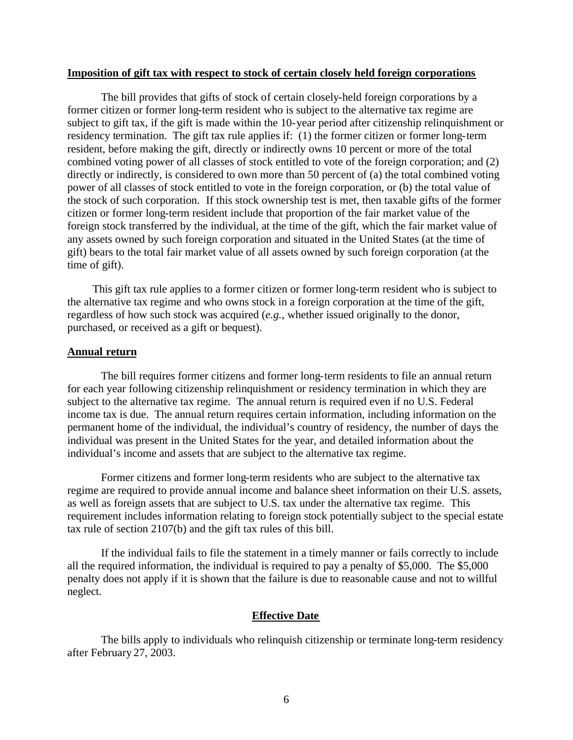#### **Imposition of gift tax with respect to stock of certain closely held foreign corporations**

The bill provides that gifts of stock of certain closely-held foreign corporations by a former citizen or former long-term resident who is subject to the alternative tax regime are subject to gift tax, if the gift is made within the 10-year period after citizenship relinquishment or residency termination. The gift tax rule applies if: (1) the former citizen or former long-term resident, before making the gift, directly or indirectly owns 10 percent or more of the total combined voting power of all classes of stock entitled to vote of the foreign corporation; and (2) directly or indirectly, is considered to own more than 50 percent of (a) the total combined voting power of all classes of stock entitled to vote in the foreign corporation, or (b) the total value of the stock of such corporation. If this stock ownership test is met, then taxable gifts of the former citizen or former long-term resident include that proportion of the fair market value of the foreign stock transferred by the individual, at the time of the gift, which the fair market value of any assets owned by such foreign corporation and situated in the United States (at the time of gift) bears to the total fair market value of all assets owned by such foreign corporation (at the time of gift).

This gift tax rule applies to a former citizen or former long-term resident who is subject to the alternative tax regime and who owns stock in a foreign corporation at the time of the gift, regardless of how such stock was acquired (*e.g.*, whether issued originally to the donor, purchased, or received as a gift or bequest).

#### **Annual return**

The bill requires former citizens and former long-term residents to file an annual return for each year following citizenship relinquishment or residency termination in which they are subject to the alternative tax regime. The annual return is required even if no U.S. Federal income tax is due. The annual return requires certain information, including information on the permanent home of the individual, the individual's country of residency, the number of days the individual was present in the United States for the year, and detailed information about the individual's income and assets that are subject to the alternative tax regime.

Former citizens and former long-term residents who are subject to the alternative tax regime are required to provide annual income and balance sheet information on their U.S. assets, as well as foreign assets that are subject to U.S. tax under the alternative tax regime. This requirement includes information relating to foreign stock potentially subject to the special estate tax rule of section 2107(b) and the gift tax rules of this bill.

If the individual fails to file the statement in a timely manner or fails correctly to include all the required information, the individual is required to pay a penalty of \$5,000. The \$5,000 penalty does not apply if it is shown that the failure is due to reasonable cause and not to willful neglect.

#### **Effective Date**

The bills apply to individuals who relinquish citizenship or terminate long-term residency after February 27, 2003.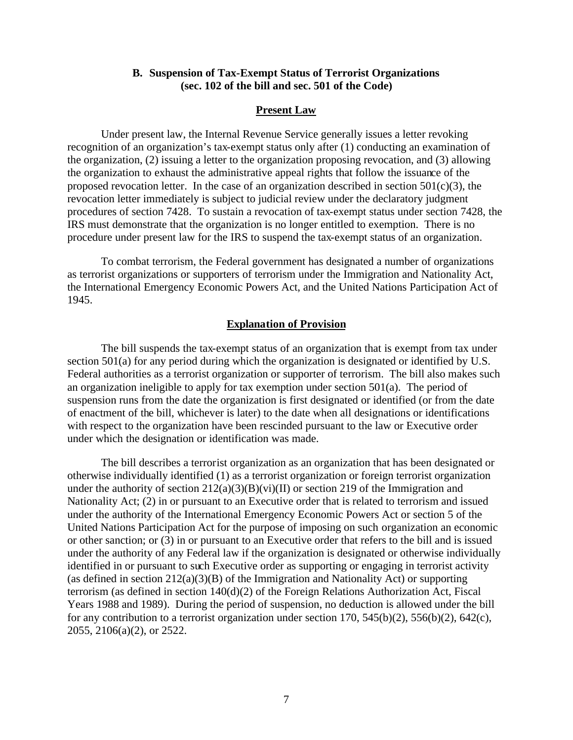### **B. Suspension of Tax-Exempt Status of Terrorist Organizations (sec. 102 of the bill and sec. 501 of the Code)**

#### **Present Law**

Under present law, the Internal Revenue Service generally issues a letter revoking recognition of an organization's tax-exempt status only after (1) conducting an examination of the organization, (2) issuing a letter to the organization proposing revocation, and (3) allowing the organization to exhaust the administrative appeal rights that follow the issuance of the proposed revocation letter. In the case of an organization described in section  $501(c)(3)$ , the revocation letter immediately is subject to judicial review under the declaratory judgment procedures of section 7428. To sustain a revocation of tax-exempt status under section 7428, the IRS must demonstrate that the organization is no longer entitled to exemption. There is no procedure under present law for the IRS to suspend the tax-exempt status of an organization.

To combat terrorism, the Federal government has designated a number of organizations as terrorist organizations or supporters of terrorism under the Immigration and Nationality Act, the International Emergency Economic Powers Act, and the United Nations Participation Act of 1945.

### **Explanation of Provision**

The bill suspends the tax-exempt status of an organization that is exempt from tax under section 501(a) for any period during which the organization is designated or identified by U.S. Federal authorities as a terrorist organization or supporter of terrorism. The bill also makes such an organization ineligible to apply for tax exemption under section 501(a). The period of suspension runs from the date the organization is first designated or identified (or from the date of enactment of the bill, whichever is later) to the date when all designations or identifications with respect to the organization have been rescinded pursuant to the law or Executive order under which the designation or identification was made.

The bill describes a terrorist organization as an organization that has been designated or otherwise individually identified (1) as a terrorist organization or foreign terrorist organization under the authority of section  $212(a)(3)(B)(vi)(II)$  or section 219 of the Immigration and Nationality Act; (2) in or pursuant to an Executive order that is related to terrorism and issued under the authority of the International Emergency Economic Powers Act or section 5 of the United Nations Participation Act for the purpose of imposing on such organization an economic or other sanction; or (3) in or pursuant to an Executive order that refers to the bill and is issued under the authority of any Federal law if the organization is designated or otherwise individually identified in or pursuant to such Executive order as supporting or engaging in terrorist activity (as defined in section  $212(a)(3)(B)$  of the Immigration and Nationality Act) or supporting terrorism (as defined in section 140(d)(2) of the Foreign Relations Authorization Act, Fiscal Years 1988 and 1989). During the period of suspension, no deduction is allowed under the bill for any contribution to a terrorist organization under section 170, 545(b)(2), 556(b)(2), 642(c), 2055, 2106(a)(2), or 2522.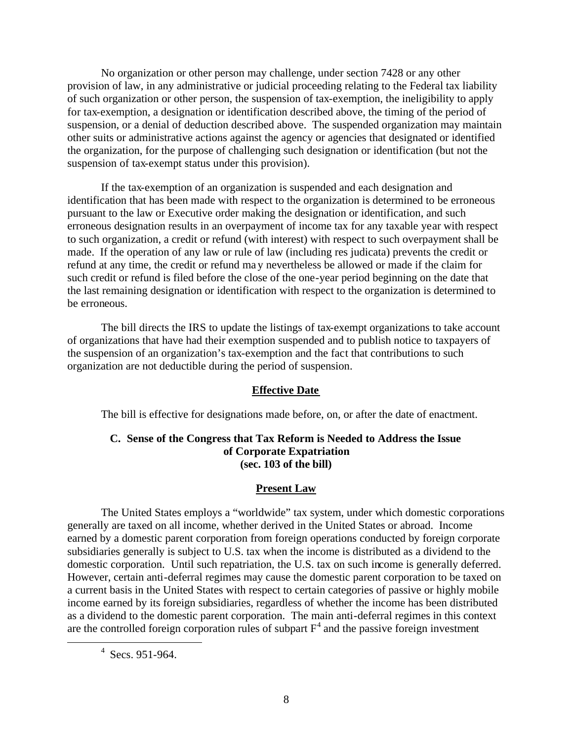No organization or other person may challenge, under section 7428 or any other provision of law, in any administrative or judicial proceeding relating to the Federal tax liability of such organization or other person, the suspension of tax-exemption, the ineligibility to apply for tax-exemption, a designation or identification described above, the timing of the period of suspension, or a denial of deduction described above. The suspended organization may maintain other suits or administrative actions against the agency or agencies that designated or identified the organization, for the purpose of challenging such designation or identification (but not the suspension of tax-exempt status under this provision).

If the tax-exemption of an organization is suspended and each designation and identification that has been made with respect to the organization is determined to be erroneous pursuant to the law or Executive order making the designation or identification, and such erroneous designation results in an overpayment of income tax for any taxable year with respect to such organization, a credit or refund (with interest) with respect to such overpayment shall be made. If the operation of any law or rule of law (including res judicata) prevents the credit or refund at any time, the credit or refund ma y nevertheless be allowed or made if the claim for such credit or refund is filed before the close of the one-year period beginning on the date that the last remaining designation or identification with respect to the organization is determined to be erroneous.

The bill directs the IRS to update the listings of tax-exempt organizations to take account of organizations that have had their exemption suspended and to publish notice to taxpayers of the suspension of an organization's tax-exemption and the fact that contributions to such organization are not deductible during the period of suspension.

## **Effective Date**

The bill is effective for designations made before, on, or after the date of enactment.

## **C. Sense of the Congress that Tax Reform is Needed to Address the Issue of Corporate Expatriation (sec. 103 of the bill)**

## **Present Law**

The United States employs a "worldwide" tax system, under which domestic corporations generally are taxed on all income, whether derived in the United States or abroad. Income earned by a domestic parent corporation from foreign operations conducted by foreign corporate subsidiaries generally is subject to U.S. tax when the income is distributed as a dividend to the domestic corporation. Until such repatriation, the U.S. tax on such income is generally deferred. However, certain anti-deferral regimes may cause the domestic parent corporation to be taxed on a current basis in the United States with respect to certain categories of passive or highly mobile income earned by its foreign subsidiaries, regardless of whether the income has been distributed as a dividend to the domestic parent corporation. The main anti-deferral regimes in this context are the controlled foreign corporation rules of subpart  $F<sup>4</sup>$  and the passive foreign investment

 $4$  Secs. 951-964.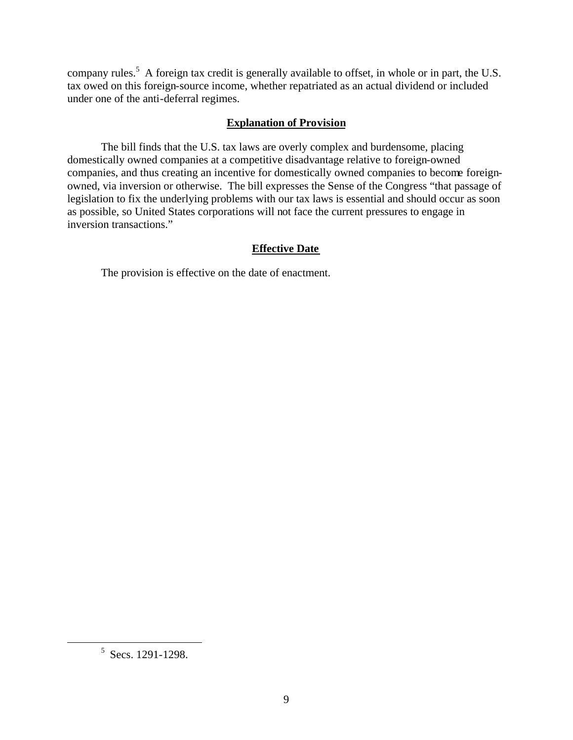company rules.<sup>5</sup> A foreign tax credit is generally available to offset, in whole or in part, the U.S. tax owed on this foreign-source income, whether repatriated as an actual dividend or included under one of the anti-deferral regimes.

## **Explanation of Provision**

The bill finds that the U.S. tax laws are overly complex and burdensome, placing domestically owned companies at a competitive disadvantage relative to foreign-owned companies, and thus creating an incentive for domestically owned companies to become foreignowned, via inversion or otherwise. The bill expresses the Sense of the Congress "that passage of legislation to fix the underlying problems with our tax laws is essential and should occur as soon as possible, so United States corporations will not face the current pressures to engage in inversion transactions."

## **Effective Date**

The provision is effective on the date of enactment.

<sup>&</sup>lt;sup>5</sup> Secs. 1291-1298.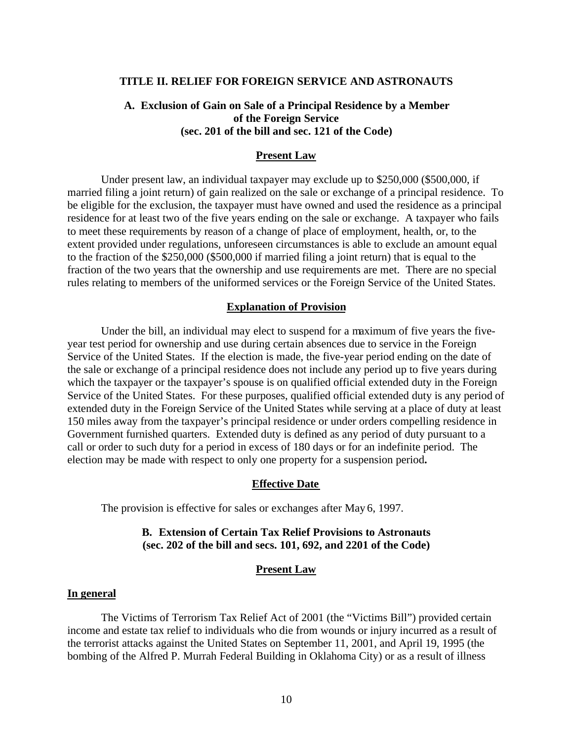#### **TITLE II. RELIEF FOR FOREIGN SERVICE AND ASTRONAUTS**

## **A. Exclusion of Gain on Sale of a Principal Residence by a Member of the Foreign Service (sec. 201 of the bill and sec. 121 of the Code)**

#### **Present Law**

Under present law, an individual taxpayer may exclude up to \$250,000 (\$500,000, if married filing a joint return) of gain realized on the sale or exchange of a principal residence. To be eligible for the exclusion, the taxpayer must have owned and used the residence as a principal residence for at least two of the five years ending on the sale or exchange. A taxpayer who fails to meet these requirements by reason of a change of place of employment, health, or, to the extent provided under regulations, unforeseen circumstances is able to exclude an amount equal to the fraction of the \$250,000 (\$500,000 if married filing a joint return) that is equal to the fraction of the two years that the ownership and use requirements are met. There are no special rules relating to members of the uniformed services or the Foreign Service of the United States.

#### **Explanation of Provision**

Under the bill, an individual may elect to suspend for a maximum of five years the fiveyear test period for ownership and use during certain absences due to service in the Foreign Service of the United States. If the election is made, the five-year period ending on the date of the sale or exchange of a principal residence does not include any period up to five years during which the taxpayer or the taxpayer's spouse is on qualified official extended duty in the Foreign Service of the United States. For these purposes, qualified official extended duty is any period of extended duty in the Foreign Service of the United States while serving at a place of duty at least 150 miles away from the taxpayer's principal residence or under orders compelling residence in Government furnished quarters. Extended duty is defined as any period of duty pursuant to a call or order to such duty for a period in excess of 180 days or for an indefinite period. The election may be made with respect to only one property for a suspension period**.**

#### **Effective Date**

The provision is effective for sales or exchanges after May 6, 1997.

#### **B. Extension of Certain Tax Relief Provisions to Astronauts (sec. 202 of the bill and secs. 101, 692, and 2201 of the Code)**

#### **Present Law**

#### **In general**

The Victims of Terrorism Tax Relief Act of 2001 (the "Victims Bill") provided certain income and estate tax relief to individuals who die from wounds or injury incurred as a result of the terrorist attacks against the United States on September 11, 2001, and April 19, 1995 (the bombing of the Alfred P. Murrah Federal Building in Oklahoma City) or as a result of illness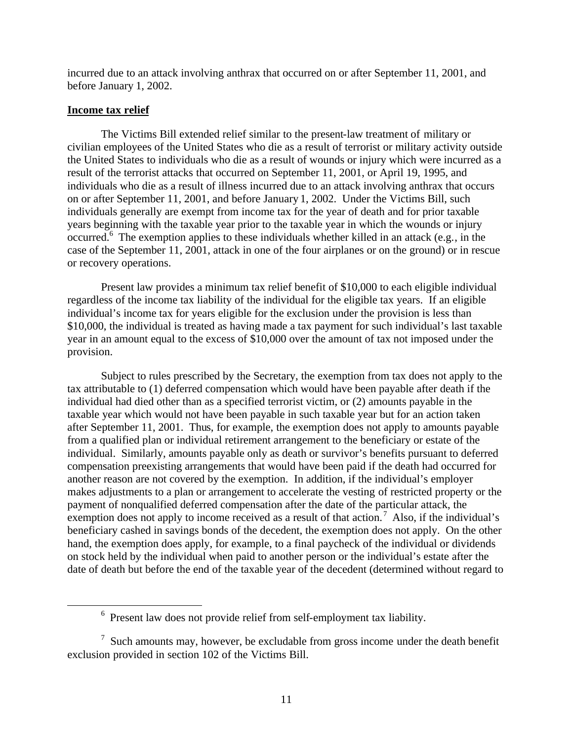incurred due to an attack involving anthrax that occurred on or after September 11, 2001, and before January 1, 2002.

## **Income tax relief**

 $\overline{a}$ 

The Victims Bill extended relief similar to the present-law treatment of military or civilian employees of the United States who die as a result of terrorist or military activity outside the United States to individuals who die as a result of wounds or injury which were incurred as a result of the terrorist attacks that occurred on September 11, 2001, or April 19, 1995, and individuals who die as a result of illness incurred due to an attack involving anthrax that occurs on or after September 11, 2001, and before January 1, 2002. Under the Victims Bill, such individuals generally are exempt from income tax for the year of death and for prior taxable years beginning with the taxable year prior to the taxable year in which the wounds or injury occurred.<sup>6</sup> The exemption applies to these individuals whether killed in an attack (e.g., in the case of the September 11, 2001, attack in one of the four airplanes or on the ground) or in rescue or recovery operations.

Present law provides a minimum tax relief benefit of \$10,000 to each eligible individual regardless of the income tax liability of the individual for the eligible tax years. If an eligible individual's income tax for years eligible for the exclusion under the provision is less than \$10,000, the individual is treated as having made a tax payment for such individual's last taxable year in an amount equal to the excess of \$10,000 over the amount of tax not imposed under the provision.

Subject to rules prescribed by the Secretary, the exemption from tax does not apply to the tax attributable to (1) deferred compensation which would have been payable after death if the individual had died other than as a specified terrorist victim, or (2) amounts payable in the taxable year which would not have been payable in such taxable year but for an action taken after September 11, 2001. Thus, for example, the exemption does not apply to amounts payable from a qualified plan or individual retirement arrangement to the beneficiary or estate of the individual. Similarly, amounts payable only as death or survivor's benefits pursuant to deferred compensation preexisting arrangements that would have been paid if the death had occurred for another reason are not covered by the exemption. In addition, if the individual's employer makes adjustments to a plan or arrangement to accelerate the vesting of restricted property or the payment of nonqualified deferred compensation after the date of the particular attack, the exemption does not apply to income received as a result of that action.<sup>7</sup> Also, if the individual's beneficiary cashed in savings bonds of the decedent, the exemption does not apply. On the other hand, the exemption does apply, for example, to a final paycheck of the individual or dividends on stock held by the individual when paid to another person or the individual's estate after the date of death but before the end of the taxable year of the decedent (determined without regard to

<sup>&</sup>lt;sup>6</sup> Present law does not provide relief from self-employment tax liability.

 $\frac{7}{1}$  Such amounts may, however, be excludable from gross income under the death benefit exclusion provided in section 102 of the Victims Bill.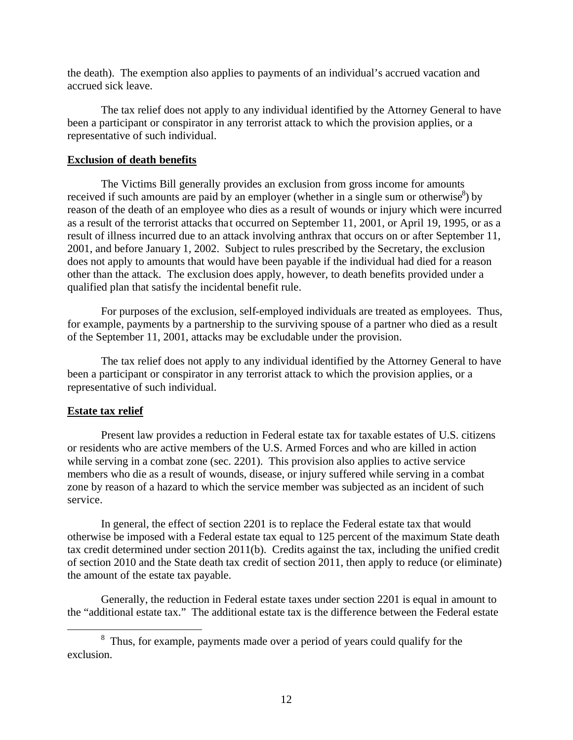the death). The exemption also applies to payments of an individual's accrued vacation and accrued sick leave.

The tax relief does not apply to any individual identified by the Attorney General to have been a participant or conspirator in any terrorist attack to which the provision applies, or a representative of such individual.

### **Exclusion of death benefits**

The Victims Bill generally provides an exclusion from gross income for amounts received if such amounts are paid by an employer (whether in a single sum or otherwise $\delta$ ) by reason of the death of an employee who dies as a result of wounds or injury which were incurred as a result of the terrorist attacks that occurred on September 11, 2001, or April 19, 1995, or as a result of illness incurred due to an attack involving anthrax that occurs on or after September 11, 2001, and before January 1, 2002. Subject to rules prescribed by the Secretary, the exclusion does not apply to amounts that would have been payable if the individual had died for a reason other than the attack. The exclusion does apply, however, to death benefits provided under a qualified plan that satisfy the incidental benefit rule.

For purposes of the exclusion, self-employed individuals are treated as employees. Thus, for example, payments by a partnership to the surviving spouse of a partner who died as a result of the September 11, 2001, attacks may be excludable under the provision.

The tax relief does not apply to any individual identified by the Attorney General to have been a participant or conspirator in any terrorist attack to which the provision applies, or a representative of such individual.

## **Estate tax relief**

 $\overline{a}$ 

Present law provides a reduction in Federal estate tax for taxable estates of U.S. citizens or residents who are active members of the U.S. Armed Forces and who are killed in action while serving in a combat zone (sec. 2201). This provision also applies to active service members who die as a result of wounds, disease, or injury suffered while serving in a combat zone by reason of a hazard to which the service member was subjected as an incident of such service.

In general, the effect of section 2201 is to replace the Federal estate tax that would otherwise be imposed with a Federal estate tax equal to 125 percent of the maximum State death tax credit determined under section 2011(b). Credits against the tax, including the unified credit of section 2010 and the State death tax credit of section 2011, then apply to reduce (or eliminate) the amount of the estate tax payable.

Generally, the reduction in Federal estate taxes under section 2201 is equal in amount to the "additional estate tax." The additional estate tax is the difference between the Federal estate

<sup>&</sup>lt;sup>8</sup> Thus, for example, payments made over a period of years could qualify for the exclusion.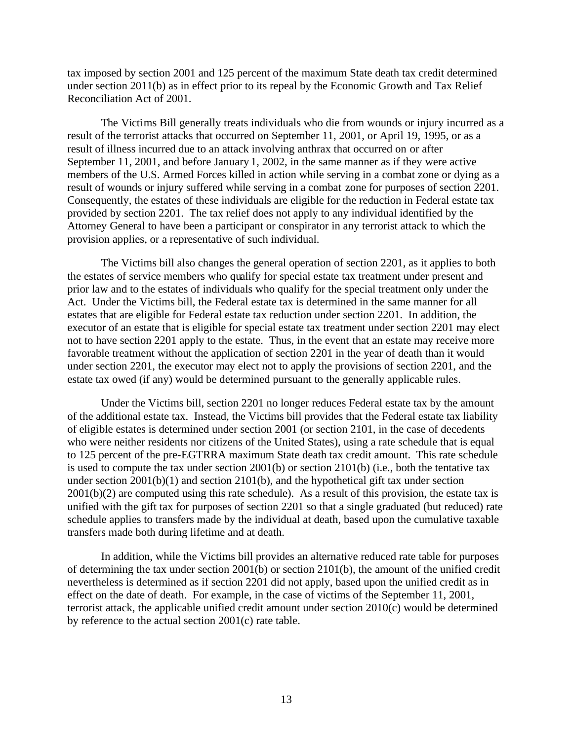tax imposed by section 2001 and 125 percent of the maximum State death tax credit determined under section 2011(b) as in effect prior to its repeal by the Economic Growth and Tax Relief Reconciliation Act of 2001.

The Victims Bill generally treats individuals who die from wounds or injury incurred as a result of the terrorist attacks that occurred on September 11, 2001, or April 19, 1995, or as a result of illness incurred due to an attack involving anthrax that occurred on or after September 11, 2001, and before January 1, 2002, in the same manner as if they were active members of the U.S. Armed Forces killed in action while serving in a combat zone or dying as a result of wounds or injury suffered while serving in a combat zone for purposes of section 2201. Consequently, the estates of these individuals are eligible for the reduction in Federal estate tax provided by section 2201. The tax relief does not apply to any individual identified by the Attorney General to have been a participant or conspirator in any terrorist attack to which the provision applies, or a representative of such individual.

The Victims bill also changes the general operation of section 2201, as it applies to both the estates of service members who qualify for special estate tax treatment under present and prior law and to the estates of individuals who qualify for the special treatment only under the Act. Under the Victims bill, the Federal estate tax is determined in the same manner for all estates that are eligible for Federal estate tax reduction under section 2201. In addition, the executor of an estate that is eligible for special estate tax treatment under section 2201 may elect not to have section 2201 apply to the estate. Thus, in the event that an estate may receive more favorable treatment without the application of section 2201 in the year of death than it would under section 2201, the executor may elect not to apply the provisions of section 2201, and the estate tax owed (if any) would be determined pursuant to the generally applicable rules.

Under the Victims bill, section 2201 no longer reduces Federal estate tax by the amount of the additional estate tax. Instead, the Victims bill provides that the Federal estate tax liability of eligible estates is determined under section 2001 (or section 2101, in the case of decedents who were neither residents nor citizens of the United States), using a rate schedule that is equal to 125 percent of the pre-EGTRRA maximum State death tax credit amount. This rate schedule is used to compute the tax under section 2001(b) or section 2101(b) (i.e., both the tentative tax under section 2001(b)(1) and section 2101(b), and the hypothetical gift tax under section  $2001(b)(2)$  are computed using this rate schedule). As a result of this provision, the estate tax is unified with the gift tax for purposes of section 2201 so that a single graduated (but reduced) rate schedule applies to transfers made by the individual at death, based upon the cumulative taxable transfers made both during lifetime and at death.

In addition, while the Victims bill provides an alternative reduced rate table for purposes of determining the tax under section 2001(b) or section 2101(b), the amount of the unified credit nevertheless is determined as if section 2201 did not apply, based upon the unified credit as in effect on the date of death. For example, in the case of victims of the September 11, 2001, terrorist attack, the applicable unified credit amount under section 2010(c) would be determined by reference to the actual section 2001(c) rate table.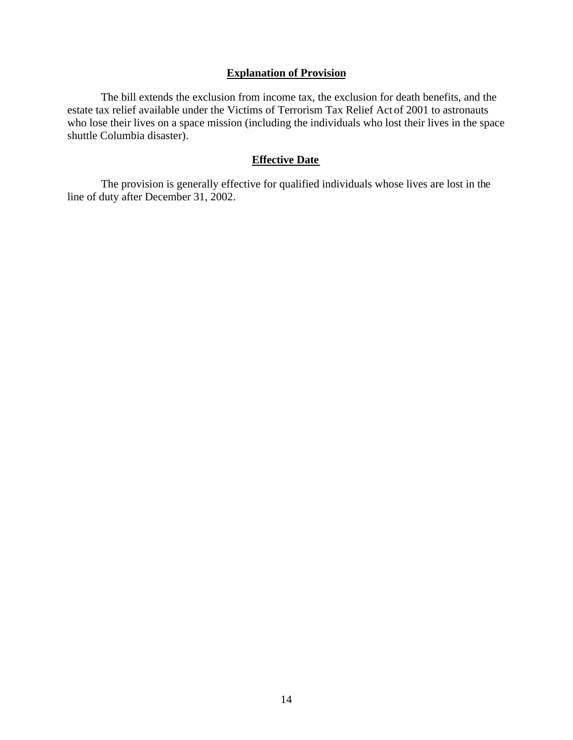## **Explanation of Provision**

The bill extends the exclusion from income tax, the exclusion for death benefits, and the estate tax relief available under the Victims of Terrorism Tax Relief Act of 2001 to astronauts who lose their lives on a space mission (including the individuals who lost their lives in the space shuttle Columbia disaster).

## **Effective Date**

The provision is generally effective for qualified individuals whose lives are lost in the line of duty after December 31, 2002.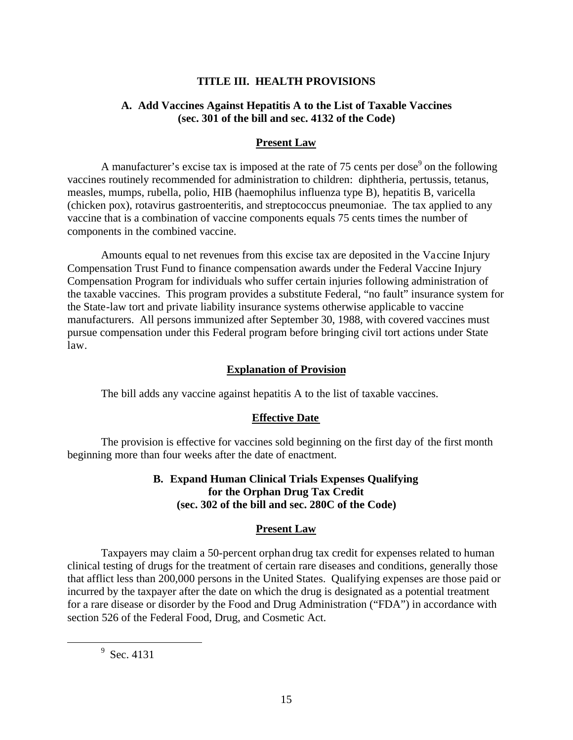## **TITLE III. HEALTH PROVISIONS**

## **A. Add Vaccines Against Hepatitis A to the List of Taxable Vaccines (sec. 301 of the bill and sec. 4132 of the Code)**

### **Present Law**

A manufacturer's excise tax is imposed at the rate of 75 cents per dose<sup>9</sup> on the following vaccines routinely recommended for administration to children: diphtheria, pertussis, tetanus, measles, mumps, rubella, polio, HIB (haemophilus influenza type B), hepatitis B, varicella (chicken pox), rotavirus gastroenteritis, and streptococcus pneumoniae. The tax applied to any vaccine that is a combination of vaccine components equals 75 cents times the number of components in the combined vaccine.

Amounts equal to net revenues from this excise tax are deposited in the Vaccine Injury Compensation Trust Fund to finance compensation awards under the Federal Vaccine Injury Compensation Program for individuals who suffer certain injuries following administration of the taxable vaccines. This program provides a substitute Federal, "no fault" insurance system for the State-law tort and private liability insurance systems otherwise applicable to vaccine manufacturers. All persons immunized after September 30, 1988, with covered vaccines must pursue compensation under this Federal program before bringing civil tort actions under State law.

#### **Explanation of Provision**

The bill adds any vaccine against hepatitis A to the list of taxable vaccines.

### **Effective Date**

The provision is effective for vaccines sold beginning on the first day of the first month beginning more than four weeks after the date of enactment.

## **B. Expand Human Clinical Trials Expenses Qualifying for the Orphan Drug Tax Credit (sec. 302 of the bill and sec. 280C of the Code)**

### **Present Law**

Taxpayers may claim a 50-percent orphan drug tax credit for expenses related to human clinical testing of drugs for the treatment of certain rare diseases and conditions, generally those that afflict less than 200,000 persons in the United States. Qualifying expenses are those paid or incurred by the taxpayer after the date on which the drug is designated as a potential treatment for a rare disease or disorder by the Food and Drug Administration ("FDA") in accordance with section 526 of the Federal Food, Drug, and Cosmetic Act.

1

<sup>&</sup>lt;sup>9</sup> Sec. 4131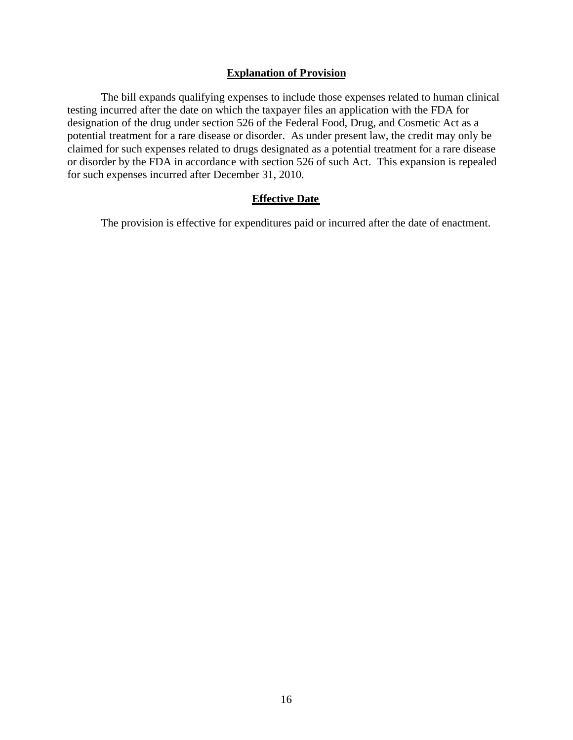### **Explanation of Provision**

The bill expands qualifying expenses to include those expenses related to human clinical testing incurred after the date on which the taxpayer files an application with the FDA for designation of the drug under section 526 of the Federal Food, Drug, and Cosmetic Act as a potential treatment for a rare disease or disorder. As under present law, the credit may only be claimed for such expenses related to drugs designated as a potential treatment for a rare disease or disorder by the FDA in accordance with section 526 of such Act. This expansion is repealed for such expenses incurred after December 31, 2010.

## **Effective Date**

The provision is effective for expenditures paid or incurred after the date of enactment.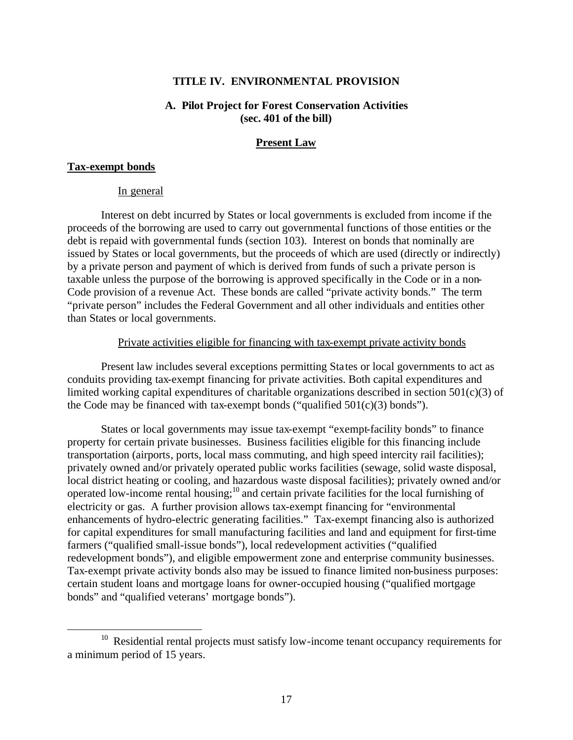#### **TITLE IV. ENVIRONMENTAL PROVISION**

### **A. Pilot Project for Forest Conservation Activities (sec. 401 of the bill)**

#### **Present Law**

#### **Tax-exempt bonds**

1

#### In general

Interest on debt incurred by States or local governments is excluded from income if the proceeds of the borrowing are used to carry out governmental functions of those entities or the debt is repaid with governmental funds (section 103). Interest on bonds that nominally are issued by States or local governments, but the proceeds of which are used (directly or indirectly) by a private person and payment of which is derived from funds of such a private person is taxable unless the purpose of the borrowing is approved specifically in the Code or in a non-Code provision of a revenue Act. These bonds are called "private activity bonds." The term "private person" includes the Federal Government and all other individuals and entities other than States or local governments.

#### Private activities eligible for financing with tax-exempt private activity bonds

Present law includes several exceptions permitting States or local governments to act as conduits providing tax-exempt financing for private activities. Both capital expenditures and limited working capital expenditures of charitable organizations described in section  $501(c)(3)$  of the Code may be financed with tax-exempt bonds ("qualified  $501(c)(3)$  bonds").

States or local governments may issue tax-exempt "exempt-facility bonds" to finance property for certain private businesses. Business facilities eligible for this financing include transportation (airports, ports, local mass commuting, and high speed intercity rail facilities); privately owned and/or privately operated public works facilities (sewage, solid waste disposal, local district heating or cooling, and hazardous waste disposal facilities); privately owned and/or operated low-income rental housing;<sup>10</sup> and certain private facilities for the local furnishing of electricity or gas. A further provision allows tax-exempt financing for "environmental enhancements of hydro-electric generating facilities." Tax-exempt financing also is authorized for capital expenditures for small manufacturing facilities and land and equipment for first-time farmers ("qualified small-issue bonds"), local redevelopment activities ("qualified redevelopment bonds"), and eligible empowerment zone and enterprise community businesses. Tax-exempt private activity bonds also may be issued to finance limited non-business purposes: certain student loans and mortgage loans for owner-occupied housing ("qualified mortgage bonds" and "qualified veterans' mortgage bonds").

<sup>&</sup>lt;sup>10</sup> Residential rental projects must satisfy low-income tenant occupancy requirements for a minimum period of 15 years.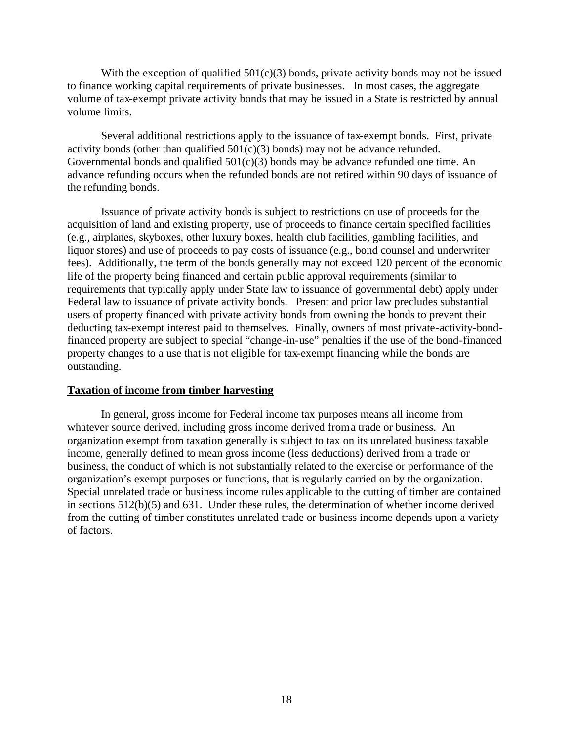With the exception of qualified  $501(c)(3)$  bonds, private activity bonds may not be issued to finance working capital requirements of private businesses. In most cases, the aggregate volume of tax-exempt private activity bonds that may be issued in a State is restricted by annual volume limits.

Several additional restrictions apply to the issuance of tax-exempt bonds. First, private activity bonds (other than qualified  $501(c)(3)$  bonds) may not be advance refunded. Governmental bonds and qualified  $501(c)(3)$  bonds may be advance refunded one time. An advance refunding occurs when the refunded bonds are not retired within 90 days of issuance of the refunding bonds.

Issuance of private activity bonds is subject to restrictions on use of proceeds for the acquisition of land and existing property, use of proceeds to finance certain specified facilities (e.g., airplanes, skyboxes, other luxury boxes, health club facilities, gambling facilities, and liquor stores) and use of proceeds to pay costs of issuance (e.g., bond counsel and underwriter fees). Additionally, the term of the bonds generally may not exceed 120 percent of the economic life of the property being financed and certain public approval requirements (similar to requirements that typically apply under State law to issuance of governmental debt) apply under Federal law to issuance of private activity bonds. Present and prior law precludes substantial users of property financed with private activity bonds from owning the bonds to prevent their deducting tax-exempt interest paid to themselves. Finally, owners of most private-activity-bondfinanced property are subject to special "change-in-use" penalties if the use of the bond-financed property changes to a use that is not eligible for tax-exempt financing while the bonds are outstanding.

#### **Taxation of income from timber harvesting**

In general, gross income for Federal income tax purposes means all income from whatever source derived, including gross income derived from a trade or business. An organization exempt from taxation generally is subject to tax on its unrelated business taxable income, generally defined to mean gross income (less deductions) derived from a trade or business, the conduct of which is not substantially related to the exercise or performance of the organization's exempt purposes or functions, that is regularly carried on by the organization. Special unrelated trade or business income rules applicable to the cutting of timber are contained in sections 512(b)(5) and 631. Under these rules, the determination of whether income derived from the cutting of timber constitutes unrelated trade or business income depends upon a variety of factors.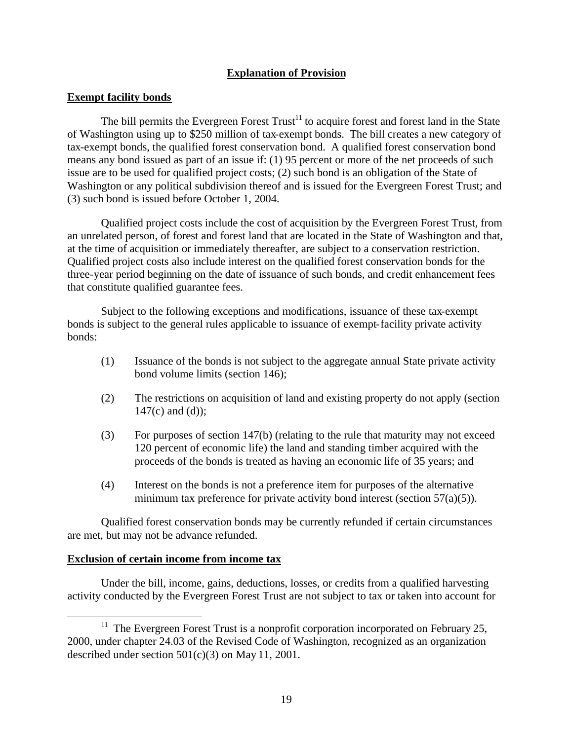## **Explanation of Provision**

## **Exempt facility bonds**

The bill permits the Evergreen Forest  $Trust<sup>11</sup>$  to acquire forest and forest land in the State of Washington using up to \$250 million of tax-exempt bonds. The bill creates a new category of tax-exempt bonds, the qualified forest conservation bond. A qualified forest conservation bond means any bond issued as part of an issue if: (1) 95 percent or more of the net proceeds of such issue are to be used for qualified project costs; (2) such bond is an obligation of the State of Washington or any political subdivision thereof and is issued for the Evergreen Forest Trust; and (3) such bond is issued before October 1, 2004.

Qualified project costs include the cost of acquisition by the Evergreen Forest Trust, from an unrelated person, of forest and forest land that are located in the State of Washington and that, at the time of acquisition or immediately thereafter, are subject to a conservation restriction. Qualified project costs also include interest on the qualified forest conservation bonds for the three-year period beginning on the date of issuance of such bonds, and credit enhancement fees that constitute qualified guarantee fees.

Subject to the following exceptions and modifications, issuance of these tax-exempt bonds is subject to the general rules applicable to issuance of exempt-facility private activity bonds:

- (1) Issuance of the bonds is not subject to the aggregate annual State private activity bond volume limits (section 146);
- (2) The restrictions on acquisition of land and existing property do not apply (section  $147(c)$  and (d));
- (3) For purposes of section 147(b) (relating to the rule that maturity may not exceed 120 percent of economic life) the land and standing timber acquired with the proceeds of the bonds is treated as having an economic life of 35 years; and
- (4) Interest on the bonds is not a preference item for purposes of the alternative minimum tax preference for private activity bond interest (section  $57(a)(5)$ ).

Qualified forest conservation bonds may be currently refunded if certain circumstances are met, but may not be advance refunded.

## **Exclusion of certain income from income tax**

 $\overline{a}$ 

Under the bill, income, gains, deductions, losses, or credits from a qualified harvesting activity conducted by the Evergreen Forest Trust are not subject to tax or taken into account for

<sup>&</sup>lt;sup>11</sup> The Evergreen Forest Trust is a nonprofit corporation incorporated on February 25, 2000, under chapter 24.03 of the Revised Code of Washington, recognized as an organization described under section 501(c)(3) on May 11, 2001.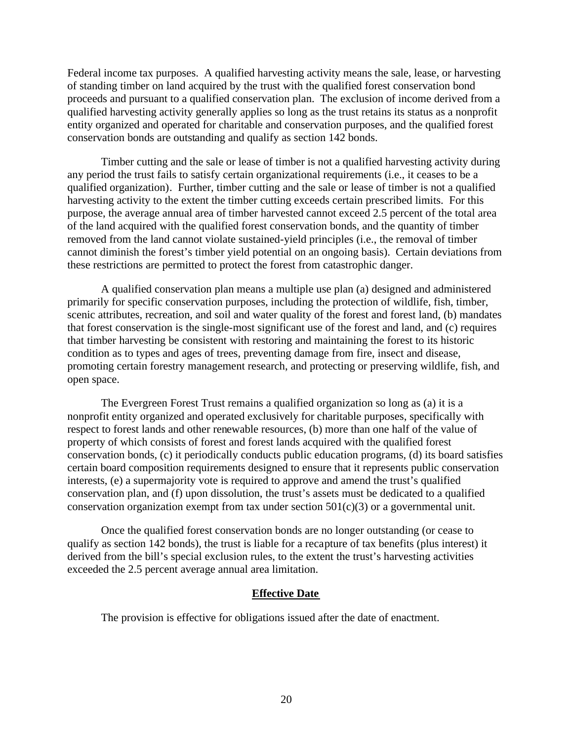Federal income tax purposes. A qualified harvesting activity means the sale, lease, or harvesting of standing timber on land acquired by the trust with the qualified forest conservation bond proceeds and pursuant to a qualified conservation plan. The exclusion of income derived from a qualified harvesting activity generally applies so long as the trust retains its status as a nonprofit entity organized and operated for charitable and conservation purposes, and the qualified forest conservation bonds are outstanding and qualify as section 142 bonds.

Timber cutting and the sale or lease of timber is not a qualified harvesting activity during any period the trust fails to satisfy certain organizational requirements (i.e., it ceases to be a qualified organization). Further, timber cutting and the sale or lease of timber is not a qualified harvesting activity to the extent the timber cutting exceeds certain prescribed limits. For this purpose, the average annual area of timber harvested cannot exceed 2.5 percent of the total area of the land acquired with the qualified forest conservation bonds, and the quantity of timber removed from the land cannot violate sustained-yield principles (i.e., the removal of timber cannot diminish the forest's timber yield potential on an ongoing basis). Certain deviations from these restrictions are permitted to protect the forest from catastrophic danger.

A qualified conservation plan means a multiple use plan (a) designed and administered primarily for specific conservation purposes, including the protection of wildlife, fish, timber, scenic attributes, recreation, and soil and water quality of the forest and forest land, (b) mandates that forest conservation is the single-most significant use of the forest and land, and (c) requires that timber harvesting be consistent with restoring and maintaining the forest to its historic condition as to types and ages of trees, preventing damage from fire, insect and disease, promoting certain forestry management research, and protecting or preserving wildlife, fish, and open space.

The Evergreen Forest Trust remains a qualified organization so long as (a) it is a nonprofit entity organized and operated exclusively for charitable purposes, specifically with respect to forest lands and other renewable resources, (b) more than one half of the value of property of which consists of forest and forest lands acquired with the qualified forest conservation bonds, (c) it periodically conducts public education programs, (d) its board satisfies certain board composition requirements designed to ensure that it represents public conservation interests, (e) a supermajority vote is required to approve and amend the trust's qualified conservation plan, and (f) upon dissolution, the trust's assets must be dedicated to a qualified conservation organization exempt from tax under section  $501(c)(3)$  or a governmental unit.

Once the qualified forest conservation bonds are no longer outstanding (or cease to qualify as section 142 bonds), the trust is liable for a recapture of tax benefits (plus interest) it derived from the bill's special exclusion rules, to the extent the trust's harvesting activities exceeded the 2.5 percent average annual area limitation.

## **Effective Date**

The provision is effective for obligations issued after the date of enactment.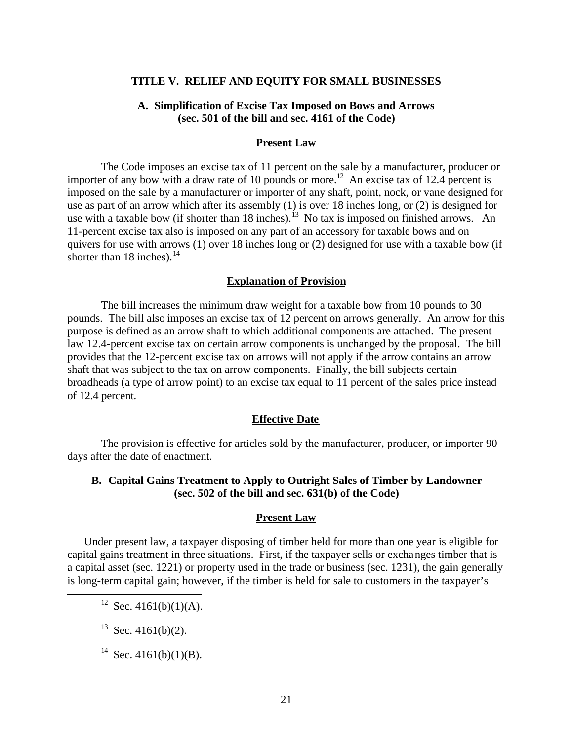#### **TITLE V. RELIEF AND EQUITY FOR SMALL BUSINESSES**

### **A. Simplification of Excise Tax Imposed on Bows and Arrows (sec. 501 of the bill and sec. 4161 of the Code)**

#### **Present Law**

The Code imposes an excise tax of 11 percent on the sale by a manufacturer, producer or importer of any bow with a draw rate of 10 pounds or more.<sup>12</sup> An excise tax of 12.4 percent is imposed on the sale by a manufacturer or importer of any shaft, point, nock, or vane designed for use as part of an arrow which after its assembly (1) is over 18 inches long, or (2) is designed for use with a taxable bow (if shorter than 18 inches).<sup>13</sup> No tax is imposed on finished arrows. An 11-percent excise tax also is imposed on any part of an accessory for taxable bows and on quivers for use with arrows (1) over 18 inches long or (2) designed for use with a taxable bow (if shorter than  $18$  inches).<sup>14</sup>

#### **Explanation of Provision**

The bill increases the minimum draw weight for a taxable bow from 10 pounds to 30 pounds. The bill also imposes an excise tax of 12 percent on arrows generally. An arrow for this purpose is defined as an arrow shaft to which additional components are attached. The present law 12.4-percent excise tax on certain arrow components is unchanged by the proposal. The bill provides that the 12-percent excise tax on arrows will not apply if the arrow contains an arrow shaft that was subject to the tax on arrow components. Finally, the bill subjects certain broadheads (a type of arrow point) to an excise tax equal to 11 percent of the sales price instead of 12.4 percent.

#### **Effective Date**

The provision is effective for articles sold by the manufacturer, producer, or importer 90 days after the date of enactment.

## **B. Capital Gains Treatment to Apply to Outright Sales of Timber by Landowner (sec. 502 of the bill and sec. 631(b) of the Code)**

#### **Present Law**

Under present law, a taxpayer disposing of timber held for more than one year is eligible for capital gains treatment in three situations. First, if the taxpayer sells or exchanges timber that is a capital asset (sec. 1221) or property used in the trade or business (sec. 1231), the gain generally is long-term capital gain; however, if the timber is held for sale to customers in the taxpayer's

1

<sup>14</sup> Sec. 4161(b)(1)(B).

<sup>&</sup>lt;sup>12</sup> Sec. 4161(b)(1)(A).

<sup>&</sup>lt;sup>13</sup> Sec. 4161(b)(2).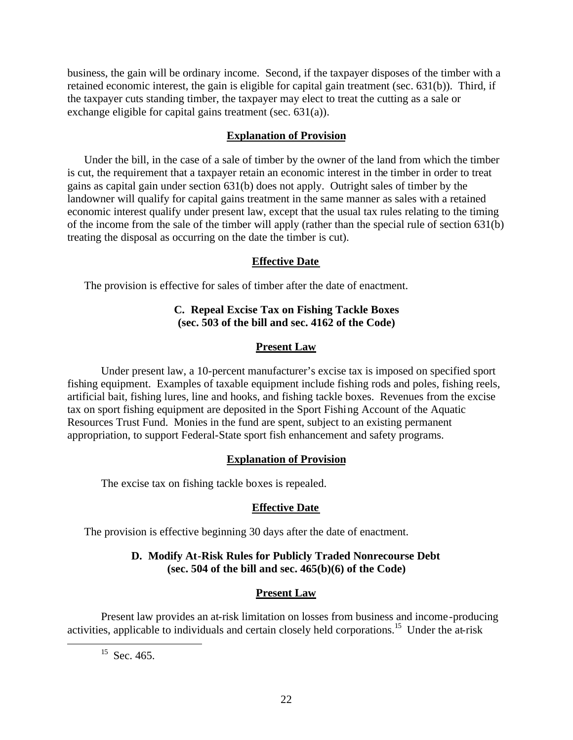business, the gain will be ordinary income. Second, if the taxpayer disposes of the timber with a retained economic interest, the gain is eligible for capital gain treatment (sec. 631(b)). Third, if the taxpayer cuts standing timber, the taxpayer may elect to treat the cutting as a sale or exchange eligible for capital gains treatment (sec. 631(a)).

## **Explanation of Provision**

Under the bill, in the case of a sale of timber by the owner of the land from which the timber is cut, the requirement that a taxpayer retain an economic interest in the timber in order to treat gains as capital gain under section 631(b) does not apply. Outright sales of timber by the landowner will qualify for capital gains treatment in the same manner as sales with a retained economic interest qualify under present law, except that the usual tax rules relating to the timing of the income from the sale of the timber will apply (rather than the special rule of section 631(b) treating the disposal as occurring on the date the timber is cut).

## **Effective Date**

The provision is effective for sales of timber after the date of enactment.

## **C. Repeal Excise Tax on Fishing Tackle Boxes (sec. 503 of the bill and sec. 4162 of the Code)**

## **Present Law**

Under present law, a 10-percent manufacturer's excise tax is imposed on specified sport fishing equipment. Examples of taxable equipment include fishing rods and poles, fishing reels, artificial bait, fishing lures, line and hooks, and fishing tackle boxes. Revenues from the excise tax on sport fishing equipment are deposited in the Sport Fishing Account of the Aquatic Resources Trust Fund. Monies in the fund are spent, subject to an existing permanent appropriation, to support Federal-State sport fish enhancement and safety programs.

## **Explanation of Provision**

The excise tax on fishing tackle boxes is repealed.

## **Effective Date**

The provision is effective beginning 30 days after the date of enactment.

## **D. Modify At-Risk Rules for Publicly Traded Nonrecourse Debt (sec. 504 of the bill and sec. 465(b)(6) of the Code)**

## **Present Law**

Present law provides an at-risk limitation on losses from business and income-producing activities, applicable to individuals and certain closely held corporations.<sup>15</sup> Under the at-risk

 $15$  Sec. 465.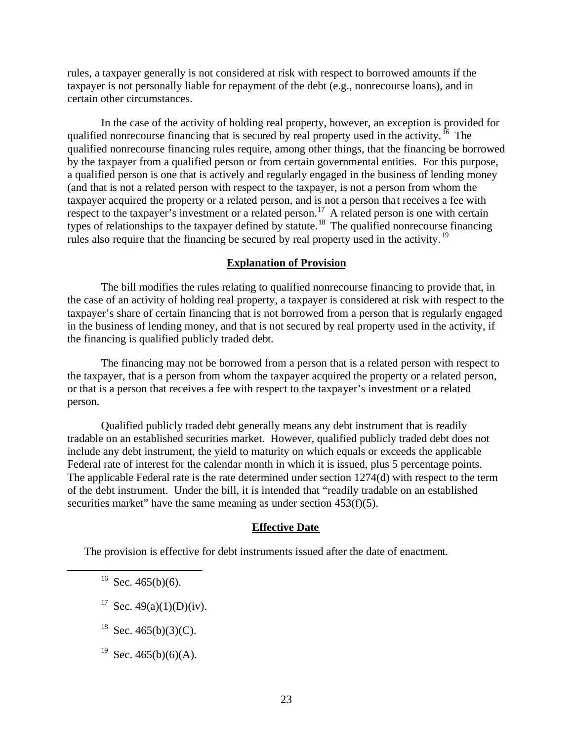rules, a taxpayer generally is not considered at risk with respect to borrowed amounts if the taxpayer is not personally liable for repayment of the debt (e.g., nonrecourse loans), and in certain other circumstances.

In the case of the activity of holding real property, however, an exception is provided for qualified nonrecourse financing that is secured by real property used in the activity. <sup>16</sup> The qualified nonrecourse financing rules require, among other things, that the financing be borrowed by the taxpayer from a qualified person or from certain governmental entities. For this purpose, a qualified person is one that is actively and regularly engaged in the business of lending money (and that is not a related person with respect to the taxpayer, is not a person from whom the taxpayer acquired the property or a related person, and is not a person that receives a fee with respect to the taxpayer's investment or a related person.<sup>17</sup> A related person is one with certain types of relationships to the taxpayer defined by statute.<sup>18</sup> The qualified nonrecourse financing rules also require that the financing be secured by real property used in the activity. <sup>19</sup>

### **Explanation of Provision**

The bill modifies the rules relating to qualified nonrecourse financing to provide that, in the case of an activity of holding real property, a taxpayer is considered at risk with respect to the taxpayer's share of certain financing that is not borrowed from a person that is regularly engaged in the business of lending money, and that is not secured by real property used in the activity, if the financing is qualified publicly traded debt.

The financing may not be borrowed from a person that is a related person with respect to the taxpayer, that is a person from whom the taxpayer acquired the property or a related person, or that is a person that receives a fee with respect to the taxpayer's investment or a related person.

Qualified publicly traded debt generally means any debt instrument that is readily tradable on an established securities market. However, qualified publicly traded debt does not include any debt instrument, the yield to maturity on which equals or exceeds the applicable Federal rate of interest for the calendar month in which it is issued, plus 5 percentage points. The applicable Federal rate is the rate determined under section 1274(d) with respect to the term of the debt instrument. Under the bill, it is intended that "readily tradable on an established securities market" have the same meaning as under section 453(f)(5).

#### **Effective Date**

The provision is effective for debt instruments issued after the date of enactment.

<sup>16</sup> Sec. 465(b)(6).

- <sup>17</sup> Sec. 49(a)(1)(D)(iv).
- <sup>18</sup> Sec. 465(b)(3)(C).
- <sup>19</sup> Sec. 465(b)(6)(A).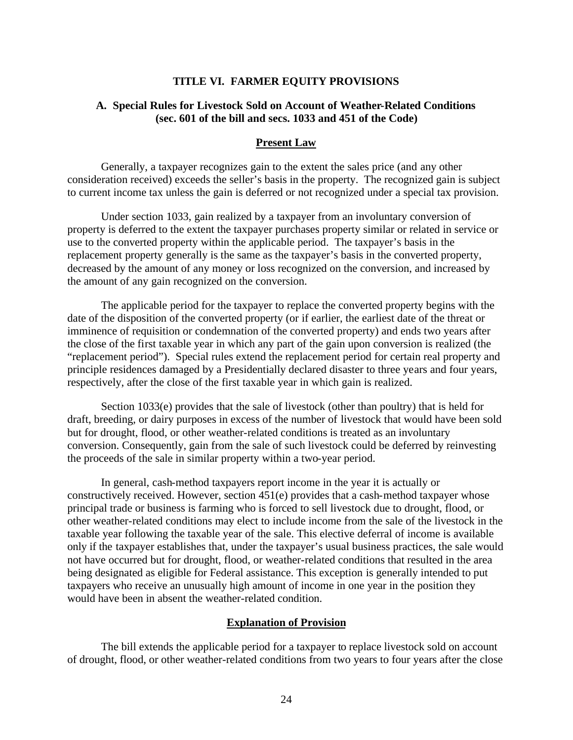### **TITLE VI. FARMER EQUITY PROVISIONS**

## **A. Special Rules for Livestock Sold on Account of Weather-Related Conditions (sec. 601 of the bill and secs. 1033 and 451 of the Code)**

#### **Present Law**

Generally, a taxpayer recognizes gain to the extent the sales price (and any other consideration received) exceeds the seller's basis in the property. The recognized gain is subject to current income tax unless the gain is deferred or not recognized under a special tax provision.

Under section 1033, gain realized by a taxpayer from an involuntary conversion of property is deferred to the extent the taxpayer purchases property similar or related in service or use to the converted property within the applicable period. The taxpayer's basis in the replacement property generally is the same as the taxpayer's basis in the converted property, decreased by the amount of any money or loss recognized on the conversion, and increased by the amount of any gain recognized on the conversion.

The applicable period for the taxpayer to replace the converted property begins with the date of the disposition of the converted property (or if earlier, the earliest date of the threat or imminence of requisition or condemnation of the converted property) and ends two years after the close of the first taxable year in which any part of the gain upon conversion is realized (the "replacement period"). Special rules extend the replacement period for certain real property and principle residences damaged by a Presidentially declared disaster to three years and four years, respectively, after the close of the first taxable year in which gain is realized.

Section 1033(e) provides that the sale of livestock (other than poultry) that is held for draft, breeding, or dairy purposes in excess of the number of livestock that would have been sold but for drought, flood, or other weather-related conditions is treated as an involuntary conversion. Consequently, gain from the sale of such livestock could be deferred by reinvesting the proceeds of the sale in similar property within a two-year period.

In general, cash-method taxpayers report income in the year it is actually or constructively received. However, section 451(e) provides that a cash-method taxpayer whose principal trade or business is farming who is forced to sell livestock due to drought, flood, or other weather-related conditions may elect to include income from the sale of the livestock in the taxable year following the taxable year of the sale. This elective deferral of income is available only if the taxpayer establishes that, under the taxpayer's usual business practices, the sale would not have occurred but for drought, flood, or weather-related conditions that resulted in the area being designated as eligible for Federal assistance. This exception is generally intended to put taxpayers who receive an unusually high amount of income in one year in the position they would have been in absent the weather-related condition.

#### **Explanation of Provision**

The bill extends the applicable period for a taxpayer to replace livestock sold on account of drought, flood, or other weather-related conditions from two years to four years after the close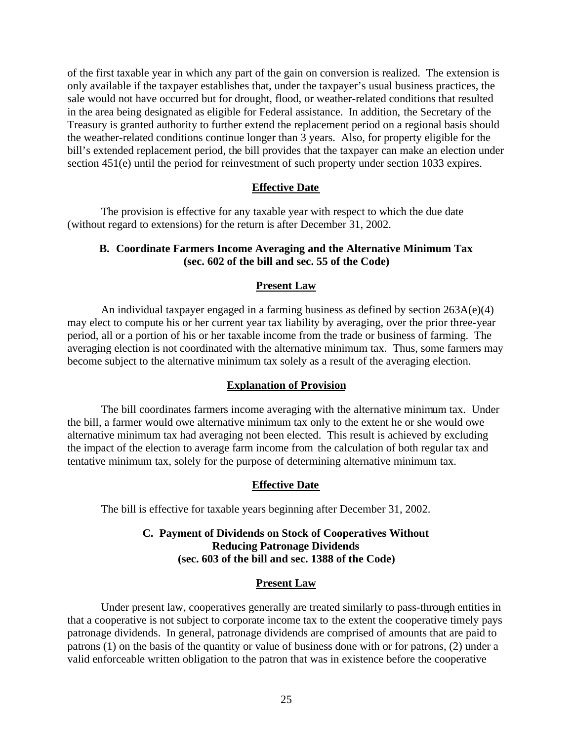of the first taxable year in which any part of the gain on conversion is realized. The extension is only available if the taxpayer establishes that, under the taxpayer's usual business practices, the sale would not have occurred but for drought, flood, or weather-related conditions that resulted in the area being designated as eligible for Federal assistance. In addition, the Secretary of the Treasury is granted authority to further extend the replacement period on a regional basis should the weather-related conditions continue longer than 3 years. Also, for property eligible for the bill's extended replacement period, the bill provides that the taxpayer can make an election under section 451(e) until the period for reinvestment of such property under section 1033 expires.

## **Effective Date**

The provision is effective for any taxable year with respect to which the due date (without regard to extensions) for the return is after December 31, 2002.

## **B. Coordinate Farmers Income Averaging and the Alternative Minimum Tax (sec. 602 of the bill and sec. 55 of the Code)**

## **Present Law**

An individual taxpayer engaged in a farming business as defined by section 263A(e)(4) may elect to compute his or her current year tax liability by averaging, over the prior three-year period, all or a portion of his or her taxable income from the trade or business of farming. The averaging election is not coordinated with the alternative minimum tax. Thus, some farmers may become subject to the alternative minimum tax solely as a result of the averaging election.

## **Explanation of Provision**

The bill coordinates farmers income averaging with the alternative minimum tax. Under the bill, a farmer would owe alternative minimum tax only to the extent he or she would owe alternative minimum tax had averaging not been elected. This result is achieved by excluding the impact of the election to average farm income from the calculation of both regular tax and tentative minimum tax, solely for the purpose of determining alternative minimum tax.

## **Effective Date**

The bill is effective for taxable years beginning after December 31, 2002.

## **C. Payment of Dividends on Stock of Cooperatives Without Reducing Patronage Dividends (sec. 603 of the bill and sec. 1388 of the Code)**

#### **Present Law**

Under present law, cooperatives generally are treated similarly to pass-through entities in that a cooperative is not subject to corporate income tax to the extent the cooperative timely pays patronage dividends. In general, patronage dividends are comprised of amounts that are paid to patrons (1) on the basis of the quantity or value of business done with or for patrons, (2) under a valid enforceable written obligation to the patron that was in existence before the cooperative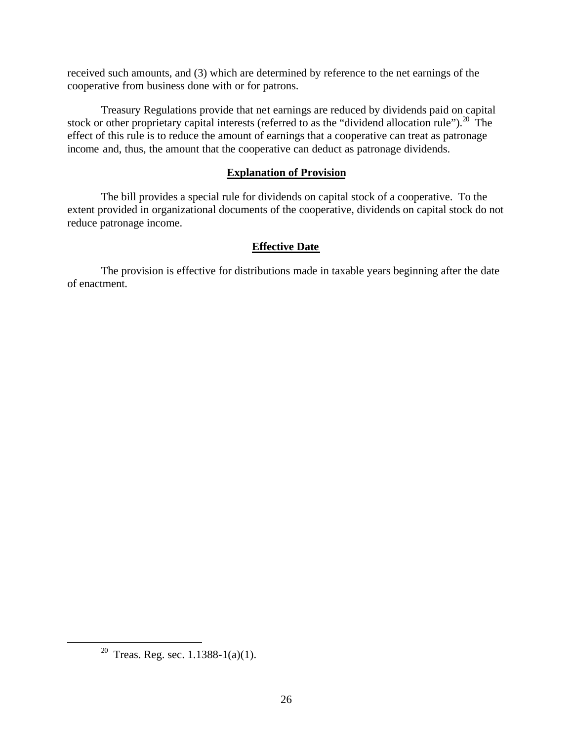received such amounts, and (3) which are determined by reference to the net earnings of the cooperative from business done with or for patrons.

Treasury Regulations provide that net earnings are reduced by dividends paid on capital stock or other proprietary capital interests (referred to as the "dividend allocation rule").<sup>20</sup> The effect of this rule is to reduce the amount of earnings that a cooperative can treat as patronage income and, thus, the amount that the cooperative can deduct as patronage dividends.

### **Explanation of Provision**

The bill provides a special rule for dividends on capital stock of a cooperative. To the extent provided in organizational documents of the cooperative, dividends on capital stock do not reduce patronage income.

## **Effective Date**

The provision is effective for distributions made in taxable years beginning after the date of enactment.

<sup>&</sup>lt;sup>20</sup> Treas. Reg. sec. 1.1388-1(a)(1).